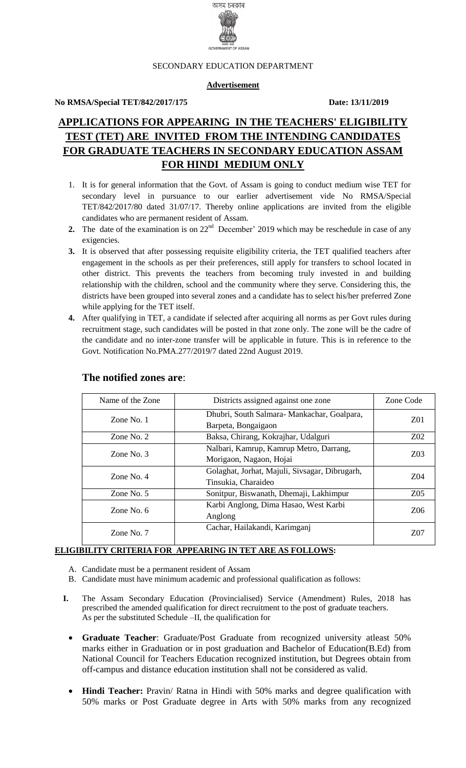

#### SECONDARY EDUCATION DEPARTMENT

#### **Advertisement**

#### **No RMSA/Special TET/842/2017/175 Date: 13/11/2019**

# **APPLICATIONS FOR APPEARING IN THE TEACHERS' ELIGIBILITY TEST (TET) ARE INVITED FROM THE INTENDING CANDIDATES FOR GRADUATE TEACHERS IN SECONDARY EDUCATION ASSAM FOR HINDI MEDIUM ONLY**

- 1. It is for general information that the Govt. of Assam is going to conduct medium wise TET for secondary level in pursuance to our earlier advertisement vide No RMSA/Special TET/842/2017/80 dated 31/07/17. Thereby online applications are invited from the eligible candidates who are permanent resident of Assam.
- **2.** The date of the examination is on  $22<sup>nd</sup>$  December' 2019 which may be reschedule in case of any exigencies.
- **3.** It is observed that after possessing requisite eligibility criteria, the TET qualified teachers after engagement in the schools as per their preferences, still apply for transfers to school located in other district. This prevents the teachers from becoming truly invested in and building relationship with the children, school and the community where they serve. Considering this, the districts have been grouped into several zones and a candidate has to select his/her preferred Zone while applying for the TET itself.
- **4.** After qualifying in TET, a candidate if selected after acquiring all norms as per Govt rules during recruitment stage, such candidates will be posted in that zone only. The zone will be the cadre of the candidate and no inter-zone transfer will be applicable in future. This is in reference to the Govt. Notification No.PMA.277/2019/7 dated 22nd August 2019.

| Name of the Zone                                                                                                | Districts assigned against one zone                                   | Zone Code        |
|-----------------------------------------------------------------------------------------------------------------|-----------------------------------------------------------------------|------------------|
| Zone No. 1                                                                                                      | Dhubri, South Salmara-Mankachar, Goalpara,<br>Barpeta, Bongaigaon     | Z01              |
| Zone No. 2                                                                                                      | Baksa, Chirang, Kokrajhar, Udalguri                                   | Z <sub>0</sub> 2 |
| Zone No. $3$                                                                                                    | Nalbari, Kamrup, Kamrup Metro, Darrang,<br>Morigaon, Nagaon, Hojai    | <b>Z03</b>       |
| Zone No. $4$                                                                                                    | Golaghat, Jorhat, Majuli, Sivsagar, Dibrugarh,<br>Tinsukia, Charaideo | <b>Z04</b>       |
| Zone No. $5$                                                                                                    | Sonitpur, Biswanath, Dhemaji, Lakhimpur                               | Z05              |
| Karbi Anglong, Dima Hasao, West Karbi<br>Zone No. $6$<br>Anglong<br>Cachar, Hailakandi, Karimganj<br>Zone No. 7 |                                                                       | Z06              |
|                                                                                                                 |                                                                       | 707              |

#### **The notified zones are**:

## **ELIGIBILITY CRITERIA FOR APPEARING IN TET ARE AS FOLLOWS:**

- A. Candidate must be a permanent resident of Assam
- B. Candidate must have minimum academic and professional qualification as follows:
- **I.** The Assam Secondary Education (Provincialised) Service (Amendment) Rules, 2018 has prescribed the amended qualification for direct recruitment to the post of graduate teachers. As per the substituted Schedule –II, the qualification for
	- **Graduate Teacher**: Graduate/Post Graduate from recognized university atleast 50% marks either in Graduation or in post graduation and Bachelor of Education(B.Ed) from National Council for Teachers Education recognized institution, but Degrees obtain from off-campus and distance education institution shall not be considered as valid.
	- **Hindi Teacher:** Pravin/ Ratna in Hindi with 50% marks and degree qualification with 50% marks or Post Graduate degree in Arts with 50% marks from any recognized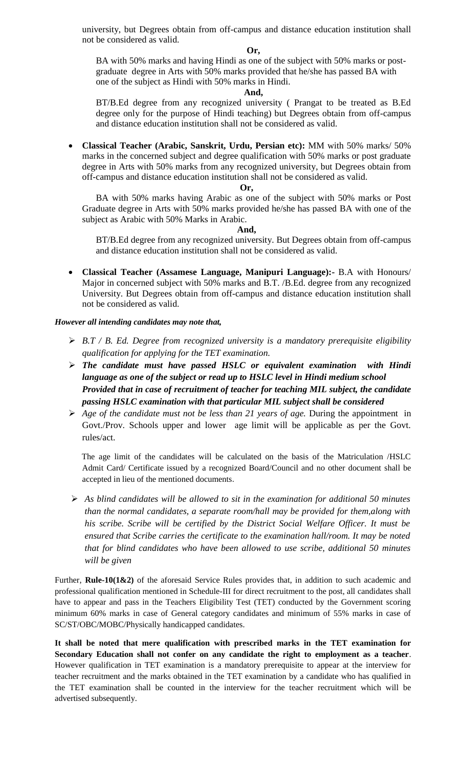university, but Degrees obtain from off-campus and distance education institution shall not be considered as valid.

#### **Or,**

BA with 50% marks and having Hindi as one of the subject with 50% marks or postgraduate degree in Arts with 50% marks provided that he/she has passed BA with one of the subject as Hindi with 50% marks in Hindi.

#### **And,**

BT/B.Ed degree from any recognized university ( Prangat to be treated as B.Ed degree only for the purpose of Hindi teaching) but Degrees obtain from off-campus and distance education institution shall not be considered as valid.

 **Classical Teacher (Arabic, Sanskrit, Urdu, Persian etc):** MM with 50% marks/ 50% marks in the concerned subject and degree qualification with 50% marks or post graduate degree in Arts with 50% marks from any recognized university, but Degrees obtain from off-campus and distance education institution shall not be considered as valid.

#### **Or,**

BA with 50% marks having Arabic as one of the subject with 50% marks or Post Graduate degree in Arts with 50% marks provided he/she has passed BA with one of the subject as Arabic with 50% Marks in Arabic.

#### **And,**

BT/B.Ed degree from any recognized university. But Degrees obtain from off-campus and distance education institution shall not be considered as valid.

 **Classical Teacher (Assamese Language, Manipuri Language):-** B.A with Honours/ Major in concerned subject with 50% marks and B.T. /B.Ed. degree from any recognized University. But Degrees obtain from off-campus and distance education institution shall not be considered as valid.

#### *However all intending candidates may note that,*

- *B.T / B. Ed. Degree from recognized university is a mandatory prerequisite eligibility qualification for applying for the TET examination.*
- *The candidate must have passed HSLC or equivalent examination with Hindi language as one of the subject or read up to HSLC level in Hindi medium school Provided that in case of recruitment of teacher for teaching MIL subject, the candidate passing HSLC examination with that particular MIL subject shall be considered*
- *Age of the candidate must not be less than 21 years of age.* During the appointment in Govt./Prov. Schools upper and lower age limit will be applicable as per the Govt. rules/act.

The age limit of the candidates will be calculated on the basis of the Matriculation /HSLC Admit Card/ Certificate issued by a recognized Board/Council and no other document shall be accepted in lieu of the mentioned documents.

 *As blind candidates will be allowed to sit in the examination for additional 50 minutes than the normal candidates, a separate room/hall may be provided for them,along with his scribe. Scribe will be certified by the District Social Welfare Officer. It must be ensured that Scribe carries the certificate to the examination hall/room. It may be noted that for blind candidates who have been allowed to use scribe, additional 50 minutes will be given*

Further, **Rule-10(1&2)** of the aforesaid Service Rules provides that, in addition to such academic and professional qualification mentioned in Schedule-III for direct recruitment to the post, all candidates shall have to appear and pass in the Teachers Eligibility Test (TET) conducted by the Government scoring minimum 60% marks in case of General category candidates and minimum of 55% marks in case of SC/ST/OBC/MOBC/Physically handicapped candidates.

**It shall be noted that mere qualification with prescribed marks in the TET examination for Secondary Education shall not confer on any candidate the right to employment as a teacher**. However qualification in TET examination is a mandatory prerequisite to appear at the interview for teacher recruitment and the marks obtained in the TET examination by a candidate who has qualified in the TET examination shall be counted in the interview for the teacher recruitment which will be advertised subsequently.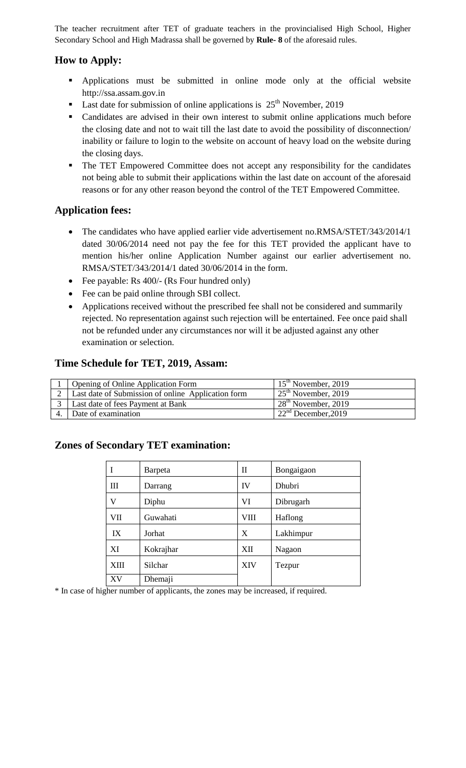The teacher recruitment after TET of graduate teachers in the provincialised High School, Higher Secondary School and High Madrassa shall be governed by **Rule- 8** of the aforesaid rules.

# **How to Apply:**

- Applications must be submitted in online mode only at the official website http://ssa.assam.gov.in
- **Last date for submission of online applications is**  $25<sup>th</sup>$  **November, 2019**
- Candidates are advised in their own interest to submit online applications much before the closing date and not to wait till the last date to avoid the possibility of disconnection/ inability or failure to login to the website on account of heavy load on the website during the closing days.
- The TET Empowered Committee does not accept any responsibility for the candidates not being able to submit their applications within the last date on account of the aforesaid reasons or for any other reason beyond the control of the TET Empowered Committee.

# **Application fees:**

- The candidates who have applied earlier vide advertisement no.RMSA/STET/343/2014/1 dated 30/06/2014 need not pay the fee for this TET provided the applicant have to mention his/her online Application Number against our earlier advertisement no. RMSA/STET/343/2014/1 dated 30/06/2014 in the form.
- Fee payable: Rs 400/- (Rs Four hundred only)
- Fee can be paid online through SBI collect.
- Applications received without the prescribed fee shall not be considered and summarily rejected. No representation against such rejection will be entertained. Fee once paid shall not be refunded under any circumstances nor will it be adjusted against any other examination or selection.

## **Time Schedule for TET, 2019, Assam:**

| <b>Opening of Online Application Form</b>          | $15th$ November, 2019            |
|----------------------------------------------------|----------------------------------|
| Last date of Submission of online Application form | $25th$ November, 2019            |
| Last date of fees Payment at Bank                  | $128^{\text{th}}$ November, 2019 |
| Date of examination                                | 122 <sup>nd</sup> December, 2019 |

# **Zones of Secondary TET examination:**

|             | Barpeta   | $\rm _{II}$ | Bongaigaon |
|-------------|-----------|-------------|------------|
| Ш           | Darrang   | IV          | Dhubri     |
| V           | Diphu     | VI          | Dibrugarh  |
| VII         | Guwahati  | VIII        | Haflong    |
| IX          | Jorhat    | X           | Lakhimpur  |
| XI          | Kokrajhar | XII         | Nagaon     |
| <b>XIII</b> | Silchar   | <b>XIV</b>  | Tezpur     |
| XV          | Dhemaji   |             |            |

\* In case of higher number of applicants, the zones may be increased, if required.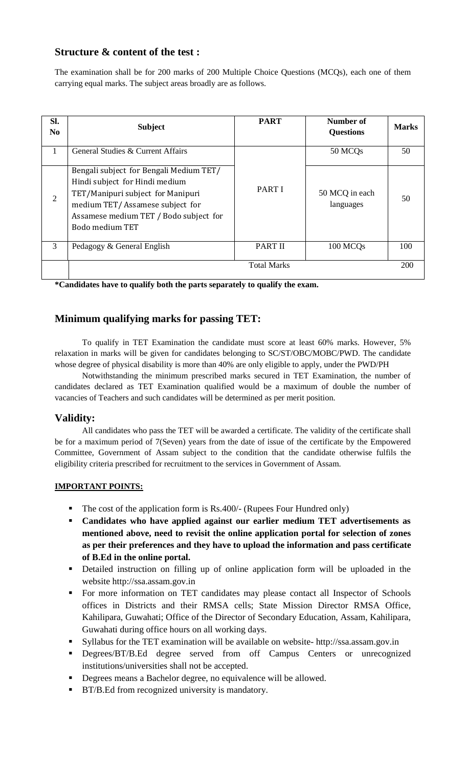# **Structure & content of the test :**

The examination shall be for 200 marks of 200 Multiple Choice Questions (MCQs), each one of them carrying equal marks. The subject areas broadly are as follows.

| Sl.<br>N <sub>0</sub> | <b>Subject</b>                                                                                                                                                                                                 | <b>PART</b>        | Number of<br><b>Questions</b> | <b>Marks</b> |
|-----------------------|----------------------------------------------------------------------------------------------------------------------------------------------------------------------------------------------------------------|--------------------|-------------------------------|--------------|
| 1                     | General Studies & Current Affairs                                                                                                                                                                              |                    | 50 MCQ <sub>s</sub>           | 50           |
| 2                     | Bengali subject for Bengali Medium TET/<br>Hindi subject for Hindi medium<br>TET/Manipuri subject for Manipuri<br>medium TET/Assamese subject for<br>Assamese medium TET / Bodo subject for<br>Bodo medium TET | PART I             | 50 MCQ in each<br>languages   | 50           |
| 3                     | Pedagogy & General English                                                                                                                                                                                     | <b>PART II</b>     | 100 MCQs                      | 100          |
|                       |                                                                                                                                                                                                                | <b>Total Marks</b> |                               | 200          |

**\*Candidates have to qualify both the parts separately to qualify the exam.**

# **Minimum qualifying marks for passing TET:**

To qualify in TET Examination the candidate must score at least 60% marks. However, 5% relaxation in marks will be given for candidates belonging to SC/ST/OBC/MOBC/PWD. The candidate whose degree of physical disability is more than 40% are only eligible to apply, under the PWD/PH

Notwithstanding the minimum prescribed marks secured in TET Examination, the number of candidates declared as TET Examination qualified would be a maximum of double the number of vacancies of Teachers and such candidates will be determined as per merit position.

# **Validity:**

All candidates who pass the TET will be awarded a certificate. The validity of the certificate shall be for a maximum period of 7(Seven) years from the date of issue of the certificate by the Empowered Committee, Government of Assam subject to the condition that the candidate otherwise fulfils the eligibility criteria prescribed for recruitment to the services in Government of Assam.

### **IMPORTANT POINTS:**

- The cost of the application form is Rs.400/- (Rupees Four Hundred only)
- **Candidates who have applied against our earlier medium TET advertisements as mentioned above, need to revisit the online application portal for selection of zones as per their preferences and they have to upload the information and pass certificate of B.Ed in the online portal.**
- Detailed instruction on filling up of online application form will be uploaded in the website http://ssa.assam.gov.in
- For more information on TET candidates may please contact all Inspector of Schools offices in Districts and their RMSA cells; State Mission Director RMSA Office, Kahilipara, Guwahati; Office of the Director of Secondary Education, Assam, Kahilipara, Guwahati during office hours on all working days.
- Syllabus for the TET examination will be available on website- http://ssa.assam.gov.in
- **Degrees/BT/B.Ed degree served from off Campus Centers or unrecognized** institutions/universities shall not be accepted.
- Degrees means a Bachelor degree, no equivalence will be allowed.
- **BT/B.Ed from recognized university is mandatory.**